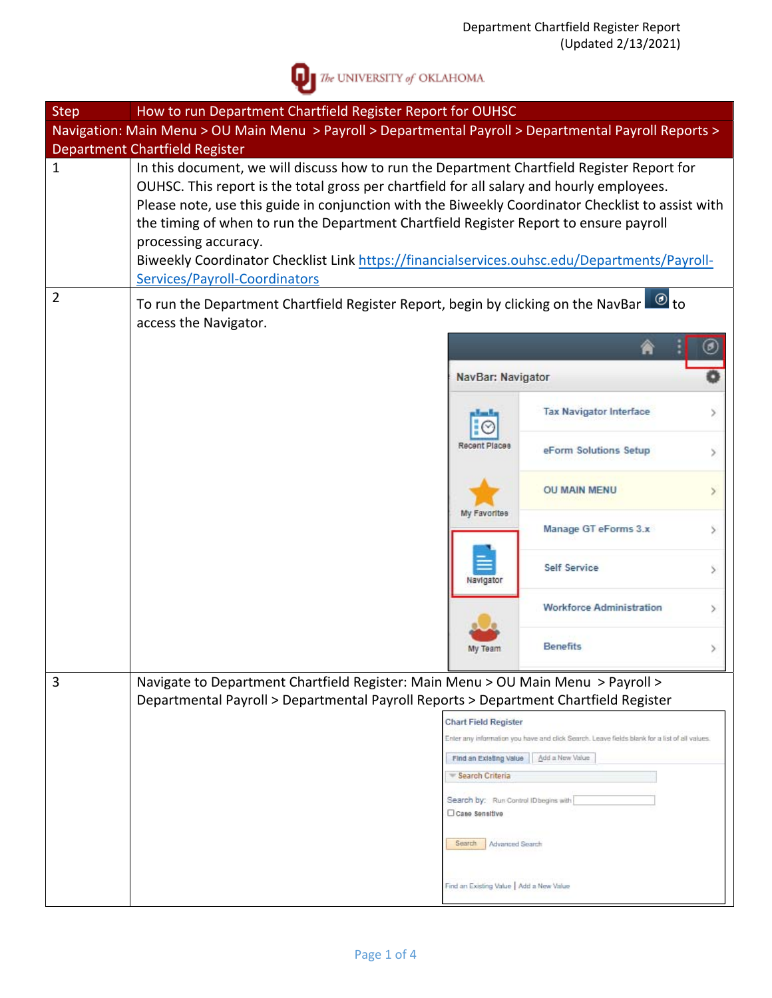

 $\sum$  The UNIVERSITY of OKLAHOMA

| <b>Step</b>    | How to run Department Chartfield Register Report for OUHSC                                                                                                                                                                                                                                                                                                                                                                                                                                                                                     |                                           |                                                                                               |   |  |  |
|----------------|------------------------------------------------------------------------------------------------------------------------------------------------------------------------------------------------------------------------------------------------------------------------------------------------------------------------------------------------------------------------------------------------------------------------------------------------------------------------------------------------------------------------------------------------|-------------------------------------------|-----------------------------------------------------------------------------------------------|---|--|--|
|                | Navigation: Main Menu > OU Main Menu > Payroll > Departmental Payroll > Departmental Payroll Reports ><br>Department Chartfield Register                                                                                                                                                                                                                                                                                                                                                                                                       |                                           |                                                                                               |   |  |  |
| $\mathbf{1}$   | In this document, we will discuss how to run the Department Chartfield Register Report for<br>OUHSC. This report is the total gross per chartfield for all salary and hourly employees.<br>Please note, use this guide in conjunction with the Biweekly Coordinator Checklist to assist with<br>the timing of when to run the Department Chartfield Register Report to ensure payroll<br>processing accuracy.<br>Biweekly Coordinator Checklist Link https://financialservices.ouhsc.edu/Departments/Payroll-<br>Services/Payroll-Coordinators |                                           |                                                                                               |   |  |  |
| $\overline{2}$ | $\bullet$ to<br>To run the Department Chartfield Register Report, begin by clicking on the NavBar<br>access the Navigator.                                                                                                                                                                                                                                                                                                                                                                                                                     |                                           |                                                                                               |   |  |  |
|                |                                                                                                                                                                                                                                                                                                                                                                                                                                                                                                                                                | NavBar: Navigator                         |                                                                                               |   |  |  |
|                |                                                                                                                                                                                                                                                                                                                                                                                                                                                                                                                                                |                                           | <b>Tax Navigator Interface</b>                                                                |   |  |  |
|                |                                                                                                                                                                                                                                                                                                                                                                                                                                                                                                                                                | Recent Places                             | eForm Solutions Setup                                                                         |   |  |  |
|                |                                                                                                                                                                                                                                                                                                                                                                                                                                                                                                                                                | My Favorites                              | <b>OU MAIN MENU</b>                                                                           |   |  |  |
|                |                                                                                                                                                                                                                                                                                                                                                                                                                                                                                                                                                |                                           | Manage GT eForms 3.x                                                                          |   |  |  |
|                |                                                                                                                                                                                                                                                                                                                                                                                                                                                                                                                                                | Navigator                                 | <b>Self Service</b>                                                                           |   |  |  |
|                |                                                                                                                                                                                                                                                                                                                                                                                                                                                                                                                                                |                                           | <b>Workforce Administration</b>                                                               | У |  |  |
|                |                                                                                                                                                                                                                                                                                                                                                                                                                                                                                                                                                |                                           | <b>Benefits</b>                                                                               |   |  |  |
| 3              | Navigate to Department Chartfield Register: Main Menu > OU Main Menu > Payroll ><br>Departmental Payroll > Departmental Payroll Reports > Department Chartfield Register                                                                                                                                                                                                                                                                                                                                                                       |                                           |                                                                                               |   |  |  |
|                |                                                                                                                                                                                                                                                                                                                                                                                                                                                                                                                                                | <b>Chart Field Register</b>               | Enter any information you have and click Search. Leave fields blank for a list of all values. |   |  |  |
|                |                                                                                                                                                                                                                                                                                                                                                                                                                                                                                                                                                | Find an Existing Value<br>Search Criteria | Add a New Value                                                                               |   |  |  |
|                |                                                                                                                                                                                                                                                                                                                                                                                                                                                                                                                                                | Search by: Run Control ID begins with     |                                                                                               |   |  |  |
|                |                                                                                                                                                                                                                                                                                                                                                                                                                                                                                                                                                | Case Sensitive                            |                                                                                               |   |  |  |
|                |                                                                                                                                                                                                                                                                                                                                                                                                                                                                                                                                                | Search<br>Advanced Search                 |                                                                                               |   |  |  |
|                |                                                                                                                                                                                                                                                                                                                                                                                                                                                                                                                                                | Find an Existing Value   Add a New Value  |                                                                                               |   |  |  |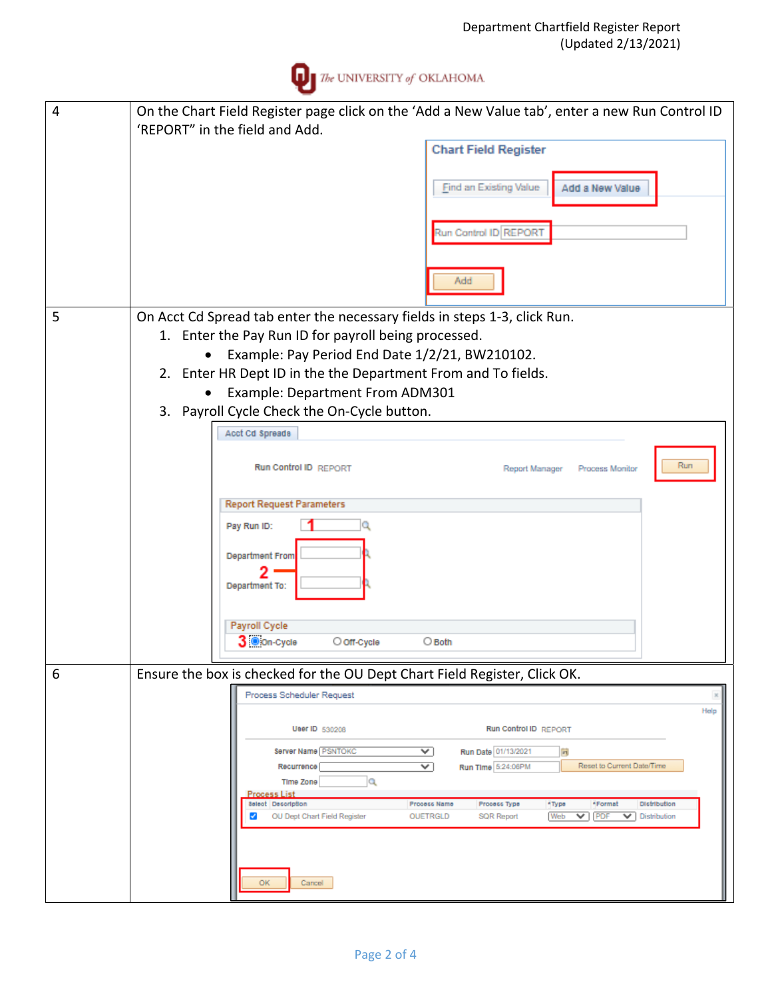

| $\overline{4}$ | On the Chart Field Register page click on the 'Add a New Value tab', enter a new Run Control ID                                                                               |  |  |  |  |  |
|----------------|-------------------------------------------------------------------------------------------------------------------------------------------------------------------------------|--|--|--|--|--|
|                | 'REPORT" in the field and Add.                                                                                                                                                |  |  |  |  |  |
|                | <b>Chart Field Register</b>                                                                                                                                                   |  |  |  |  |  |
|                | Find an Existing Value<br>Add a New Value                                                                                                                                     |  |  |  |  |  |
|                | Run Control ID REPORT                                                                                                                                                         |  |  |  |  |  |
|                | Add                                                                                                                                                                           |  |  |  |  |  |
|                |                                                                                                                                                                               |  |  |  |  |  |
| 5              | On Acct Cd Spread tab enter the necessary fields in steps 1-3, click Run.                                                                                                     |  |  |  |  |  |
|                | 1. Enter the Pay Run ID for payroll being processed.                                                                                                                          |  |  |  |  |  |
|                | Example: Pay Period End Date 1/2/21, BW210102.<br>$\bullet$                                                                                                                   |  |  |  |  |  |
|                | 2. Enter HR Dept ID in the the Department From and To fields.                                                                                                                 |  |  |  |  |  |
|                | Example: Department From ADM301                                                                                                                                               |  |  |  |  |  |
|                | 3. Payroll Cycle Check the On-Cycle button.                                                                                                                                   |  |  |  |  |  |
|                | Acct Cd Spreads                                                                                                                                                               |  |  |  |  |  |
|                | Run<br>Run Control ID REPORT<br>Process Monitor<br>Report Manager                                                                                                             |  |  |  |  |  |
|                |                                                                                                                                                                               |  |  |  |  |  |
|                | <b>Report Request Parameters</b>                                                                                                                                              |  |  |  |  |  |
|                | Pay Run ID:                                                                                                                                                                   |  |  |  |  |  |
|                | <b>Department From</b>                                                                                                                                                        |  |  |  |  |  |
|                | Department To:                                                                                                                                                                |  |  |  |  |  |
|                |                                                                                                                                                                               |  |  |  |  |  |
|                | Payroll Cycle<br>3 Oon-Cycle<br>O off-Cycle<br>$\bigcirc$ Both                                                                                                                |  |  |  |  |  |
|                |                                                                                                                                                                               |  |  |  |  |  |
| 6              | Ensure the box is checked for the OU Dept Chart Field Register, Click OK.                                                                                                     |  |  |  |  |  |
|                | Process Scheduler Request                                                                                                                                                     |  |  |  |  |  |
|                | Help                                                                                                                                                                          |  |  |  |  |  |
|                | <b>Run Control ID REPORT</b><br>User ID 530208                                                                                                                                |  |  |  |  |  |
|                | Server Name PSNTOKC<br>Run Date 01/13/2021<br>$\checkmark$<br>$\mathbf{r}$                                                                                                    |  |  |  |  |  |
|                | Reset to Current Date/Time<br>$\checkmark$<br>Run Time 5:24:06PM<br>Recurrence<br>Q<br>Time Zone                                                                              |  |  |  |  |  |
|                | <b>Process List</b><br><b>Select</b> Description                                                                                                                              |  |  |  |  |  |
|                | Process Name<br>Process Type<br>*Type<br>*Format<br><b>Distribution</b><br>$\vee$ PDF<br>OU Dept Chart Field Register<br>Web<br>∢<br>OUETRGLD<br>SQR Report<br>V Distribution |  |  |  |  |  |
|                |                                                                                                                                                                               |  |  |  |  |  |
|                |                                                                                                                                                                               |  |  |  |  |  |
|                |                                                                                                                                                                               |  |  |  |  |  |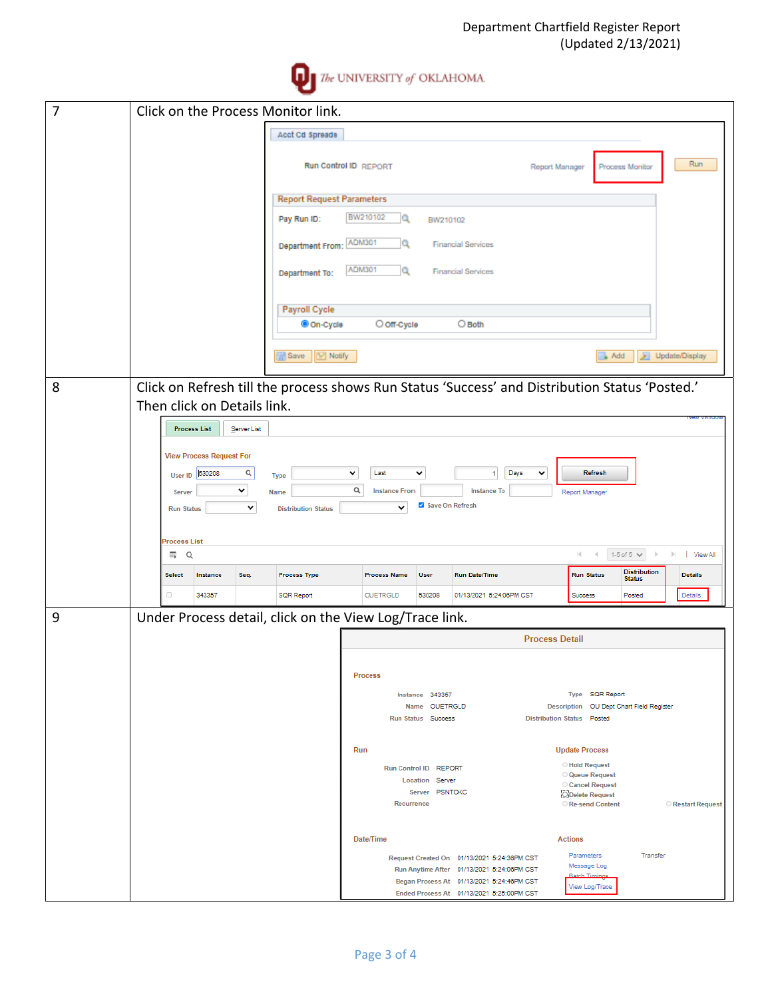

| $\overline{7}$ | Click on the Process Monitor link.                                                                                                                                                                                                                                                                                   |                                             |                       |                       |                                                                                        |                       |                                           |                                      |                         |
|----------------|----------------------------------------------------------------------------------------------------------------------------------------------------------------------------------------------------------------------------------------------------------------------------------------------------------------------|---------------------------------------------|-----------------------|-----------------------|----------------------------------------------------------------------------------------|-----------------------|-------------------------------------------|--------------------------------------|-------------------------|
|                |                                                                                                                                                                                                                                                                                                                      | Acct Cd Spreads                             |                       |                       |                                                                                        |                       |                                           |                                      |                         |
|                |                                                                                                                                                                                                                                                                                                                      |                                             | Run Control ID REPORT |                       |                                                                                        | Report Manager        |                                           | Process Monitor                      | Run                     |
|                |                                                                                                                                                                                                                                                                                                                      | <b>Report Request Parameters</b>            |                       |                       |                                                                                        |                       |                                           |                                      |                         |
|                |                                                                                                                                                                                                                                                                                                                      | Pay Run ID:                                 | BW210102<br>Q         | BW210102              |                                                                                        |                       |                                           |                                      |                         |
|                |                                                                                                                                                                                                                                                                                                                      | Department From:                            | ADM301<br>Q           |                       | <b>Financial Services</b>                                                              |                       |                                           |                                      |                         |
|                |                                                                                                                                                                                                                                                                                                                      | Department To:                              | ADM301<br>Q           |                       | <b>Financial Services</b>                                                              |                       |                                           |                                      |                         |
|                |                                                                                                                                                                                                                                                                                                                      |                                             |                       |                       |                                                                                        |                       |                                           |                                      |                         |
|                |                                                                                                                                                                                                                                                                                                                      | Payroll Cycle<br>Con-Cycle                  | O off-Cycle           |                       | $\bigcirc$ Both                                                                        |                       |                                           |                                      |                         |
|                |                                                                                                                                                                                                                                                                                                                      | $\left  \frac{1}{2} \right $ Notify<br>Save |                       |                       |                                                                                        |                       |                                           | Add                                  | Update/Display          |
|                |                                                                                                                                                                                                                                                                                                                      |                                             |                       |                       |                                                                                        |                       |                                           |                                      |                         |
| 8              | Click on Refresh till the process shows Run Status 'Success' and Distribution Status 'Posted.'<br>Then click on Details link.                                                                                                                                                                                        |                                             |                       |                       |                                                                                        |                       |                                           |                                      |                         |
|                |                                                                                                                                                                                                                                                                                                                      |                                             |                       |                       |                                                                                        |                       |                                           |                                      |                         |
|                | <b>Process List</b><br>Server List<br><b>View Process Request For</b><br>Q<br>Last<br>Days<br>Refresh<br>v<br>$\checkmark$<br>530208<br>$\mathbf{1}$<br>$\checkmark$<br>User ID<br><b>Type</b><br>$\alpha$<br>v<br><b>Instance From</b><br><b>Instance To</b><br>Report Manager<br>Name<br>Server<br>Save On Refresh |                                             |                       |                       |                                                                                        |                       |                                           |                                      |                         |
|                |                                                                                                                                                                                                                                                                                                                      |                                             |                       |                       |                                                                                        |                       |                                           |                                      |                         |
|                |                                                                                                                                                                                                                                                                                                                      |                                             |                       |                       |                                                                                        |                       |                                           |                                      |                         |
|                |                                                                                                                                                                                                                                                                                                                      |                                             |                       |                       |                                                                                        |                       |                                           |                                      |                         |
|                | v<br><b>Run Status</b>                                                                                                                                                                                                                                                                                               | <b>Distribution Status</b>                  | $\checkmark$          |                       |                                                                                        |                       |                                           |                                      |                         |
|                | <b>Process List</b>                                                                                                                                                                                                                                                                                                  |                                             |                       |                       |                                                                                        |                       |                                           |                                      |                         |
|                | 畔<br>Q                                                                                                                                                                                                                                                                                                               |                                             |                       |                       |                                                                                        |                       | м                                         | 1-5 of 5 $\vee$                      | $\mathbb{H}$   View All |
|                | Instance<br>Seq.<br><b>Select</b>                                                                                                                                                                                                                                                                                    | <b>Process Type</b>                         | <b>Process Name</b>   | <b>User</b>           | <b>Run Date/Time</b>                                                                   |                       | <b>Run Status</b>                         | <b>Distribution</b><br><b>Status</b> | <b>Details</b>          |
|                | 0<br>343357                                                                                                                                                                                                                                                                                                          | <b>SQR Report</b>                           | OUETRGLD              | 530208                | 01/13/2021 5:24:06PM CST                                                               |                       | Success                                   | Posted                               | Details                 |
| 9              | Under Process detail, click on the View Log/Trace link.                                                                                                                                                                                                                                                              |                                             |                       |                       |                                                                                        |                       |                                           |                                      |                         |
|                |                                                                                                                                                                                                                                                                                                                      |                                             |                       |                       |                                                                                        | <b>Process Detail</b> |                                           |                                      |                         |
|                |                                                                                                                                                                                                                                                                                                                      |                                             |                       |                       |                                                                                        |                       |                                           |                                      |                         |
|                |                                                                                                                                                                                                                                                                                                                      |                                             | <b>Process</b>        |                       |                                                                                        |                       |                                           |                                      |                         |
|                | Type SQR Report<br>Instance 343357<br>Name OUETRGLD<br>Description   OU Dept Chart Field Register                                                                                                                                                                                                                    |                                             |                       |                       |                                                                                        |                       |                                           |                                      |                         |
|                |                                                                                                                                                                                                                                                                                                                      |                                             |                       | Run Status Success    |                                                                                        |                       | Distribution Status Posted                |                                      |                         |
|                |                                                                                                                                                                                                                                                                                                                      |                                             | Run                   |                       |                                                                                        |                       | <b>Update Process</b>                     |                                      |                         |
|                |                                                                                                                                                                                                                                                                                                                      |                                             |                       | Run Control ID REPORT |                                                                                        |                       | <b>Hold Request</b>                       |                                      |                         |
|                |                                                                                                                                                                                                                                                                                                                      |                                             |                       | Location Server       |                                                                                        |                       | <b>Queue Request</b><br>Cancel Request    |                                      |                         |
|                |                                                                                                                                                                                                                                                                                                                      |                                             | Recurrence            | Server PSNTOKC        |                                                                                        |                       | <b>ODelete Request</b><br>Re-send Content |                                      | Restart Request         |
|                |                                                                                                                                                                                                                                                                                                                      |                                             | Date/Time             |                       |                                                                                        |                       | <b>Actions</b>                            |                                      |                         |
|                |                                                                                                                                                                                                                                                                                                                      |                                             |                       |                       | Request Created On 01/13/2021 5:24:36PM CST                                            |                       | Parameters                                | Transfer                             |                         |
|                |                                                                                                                                                                                                                                                                                                                      |                                             |                       |                       | Run Anytime After 01/13/2021 5:24:06PM CST                                             |                       | Message Log<br><b>Batch Timin</b>         |                                      |                         |
|                |                                                                                                                                                                                                                                                                                                                      |                                             |                       |                       | Began Process At 01/13/2021 5:24:46PM CST<br>Ended Process At 01/13/2021 5:25:00PM CST |                       | View Log/Trace                            |                                      |                         |